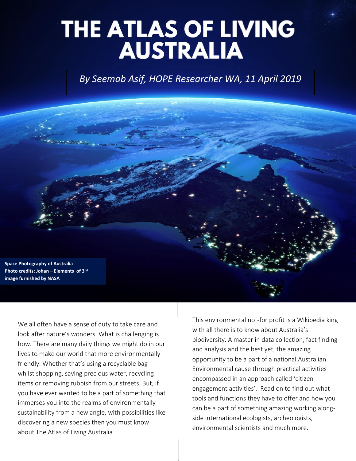# THE ATLAS OF LIVING<br>AUSTRALIA

*By Seemab Asif, HOPE Researcher WA, 11 April 2019*

**Space Photography of Australia Photo credits: Johan – Elements of 3rd image furnished by NASA**

We all often have a sense of duty to take care and look after nature's wonders. What is challenging is how. There are many daily things we might do in our lives to make our world that more environmentally friendly. Whether that's using a recyclable bag whilst shopping, saving precious water, recycling items or removing rubbish from our streets. But, if you have ever wanted to be a part of something that immerses you into the realms of environmentally sustainability from a new angle, with possibilities like discovering a new species then you must know about The Atlas of Living Australia.

This environmental not-for profit is a Wikipedia king with all there is to know about Australia's biodiversity. A master in data collection, fact finding and analysis and the best yet, the amazing opportunity to be a part of a national Australian Environmental cause through practical activities encompassed in an approach called 'citizen engagement activities'. Read on to find out what tools and functions they have to offer and how you can be a part of something amazing working alongside international ecologists, archeologists, environmental scientists and much more.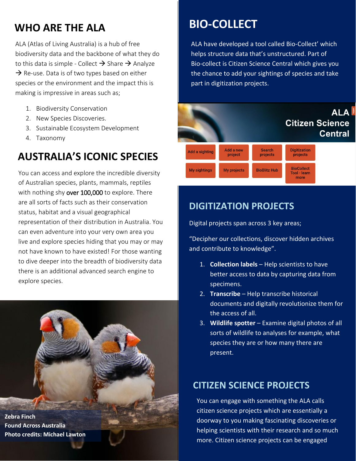# **WHO ARE THE ALA BIO-COLLECT**

ALA (Atlas of Living Australia) is a hub of free biodiversity data and the backbone of what they do to this data is simple - Collect  $\rightarrow$  Share  $\rightarrow$  Analyze  $\rightarrow$  Re-use. Data is of two types based on either species or the environment and the impact this is making is impressive in areas such as;

- 1. Biodiversity Conservation
- 2. New Species Discoveries.
- 3. Sustainable Ecosystem Development
- 4. Taxonomy

# **AUSTRALIA'S ICONIC SPECIES**

You can access and explore the incredible diversity of Australian species, plants, mammals, reptiles with nothing shy over 100,000 to explore. There are all sorts of facts such as their conservation status, habitat and a visual geographical representation of their distribution in Australia. You can even adventure into your very own area you live and explore species hiding that you may or may not have known to have existed! For those wanting to dive deeper into the breadth of biodiversity data there is an additional advanced search engine to explore species.

#### **Zebra Finch Found Across Australia Photo credits: Michael Lawton**

ALA have developed a tool called Bio-Collect' which helps structure data that's unstructured. Part of Bio-collect is Citizen Science Central which gives you the chance to add your sightings of species and take part in digitization projects.

#### **ALA Citizen Science Central** Add a new **Digitization** Search Add a sighting projects project projects **BioCollect BioBlitz Hub My sightings** My projects Tool - learn more

### **DIGITIZATION PROJECTS**

Digital projects span across 3 key areas;

"Decipher our collections, discover hidden archives and contribute to knowledge".

- 1. **Collection labels** Help scientists to have better access to data by capturing data from specimens.
- 2. **Transcribe**  Help transcribe historical documents and digitally revolutionize them for the access of all.
- 3. **Wildlife spotter** Examine digital photos of all sorts of wildlife to analyses for example, what species they are or how many there are present.

### **CITIZEN SCIENCE PROJECTS**

You can engage with something the ALA calls citizen science projects which are essentially a doorway to you making fascinating discoveries or helping scientists with their research and so much more. Citizen science projects can be engaged